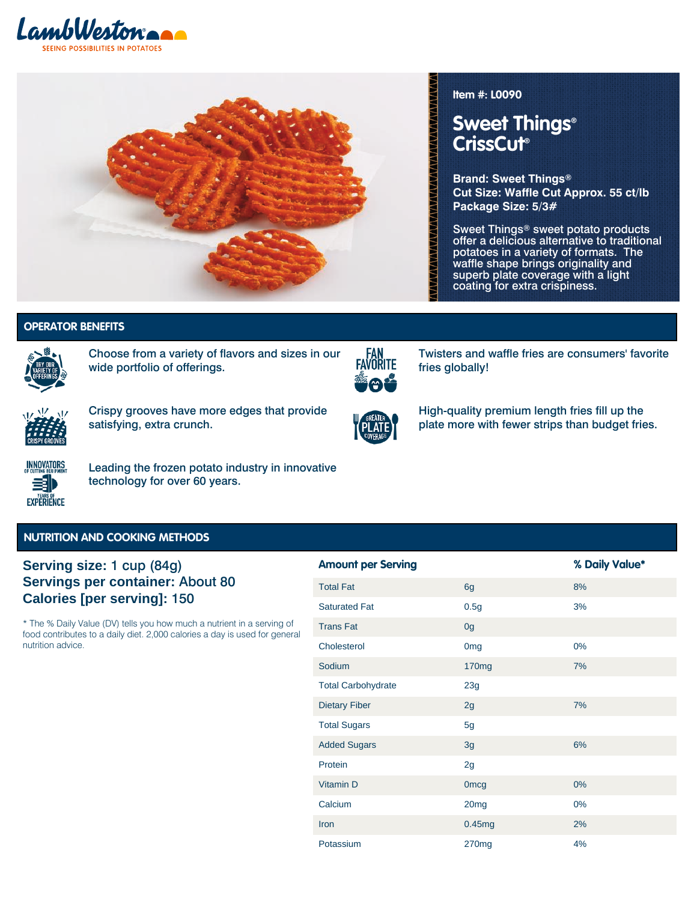



#### **Item #: L0090**

Technology **Technology**

fries globally!

# **Sweet Things® CrissCut®**

**Brand: Sweet Things® Cut Size: Waffle Cut Approx. 55 ct/lb Package Size: 5/3#**

Sweet Things® sweet potato products offer a delicious alternative to traditional potatoes in a variety of formats. The waffle shape brings originality and superb plate coverage with a light coating for extra crispiness.

Variety of Offerings | Fan Favorite |

Twisters and waffle fries are consumers' favorite

**Variety of Offerings | Fan Favorite |**

## **OPERATOR BENEFITS**



Choose from a variety of flavors and sizes in our wide portfolio of offerings.



Crispy grooves have more edges that provide satisfying, extra crunch.



FAN<br>FAVORITE

High-quality premium length fries fill up the plate more with fewer strips than budget fries.



Leading the frozen potato industry in innovative technology for over 60 years.

#### **NUTRITION AND COOKING METHODS**

## **Serving size:** 1 cup (84g) **Servings per container:** About 80 **Calories [per serving]:** 150

\* The % Daily Value (DV) tells you how much a nutrient in a serving of food contributes to a daily diet. 2,000 calories a day is used for general nutrition advice.

| <b>Amount per Serving</b> |                   | % Daily Value* |
|---------------------------|-------------------|----------------|
| <b>Total Fat</b>          | 6g                | 8%             |
| <b>Saturated Fat</b>      | 0.5g              | 3%             |
| <b>Trans Fat</b>          | 0g                |                |
| Cholesterol               | 0 <sub>mg</sub>   | $0\%$          |
| Sodium                    | 170 <sub>mg</sub> | 7%             |
| <b>Total Carbohydrate</b> | 23g               |                |
| <b>Dietary Fiber</b>      | 2g                | 7%             |
| <b>Total Sugars</b>       | 5g                |                |
| <b>Added Sugars</b>       | 3g                | 6%             |
| Protein                   | 2g                |                |
| Vitamin D                 | <b>Omcg</b>       | $0\%$          |
| Calcium                   | 20 <sub>mg</sub>  | 0%             |
| Iron                      | 0.45mg            | 2%             |
| Potassium                 | 270mg             | 4%             |